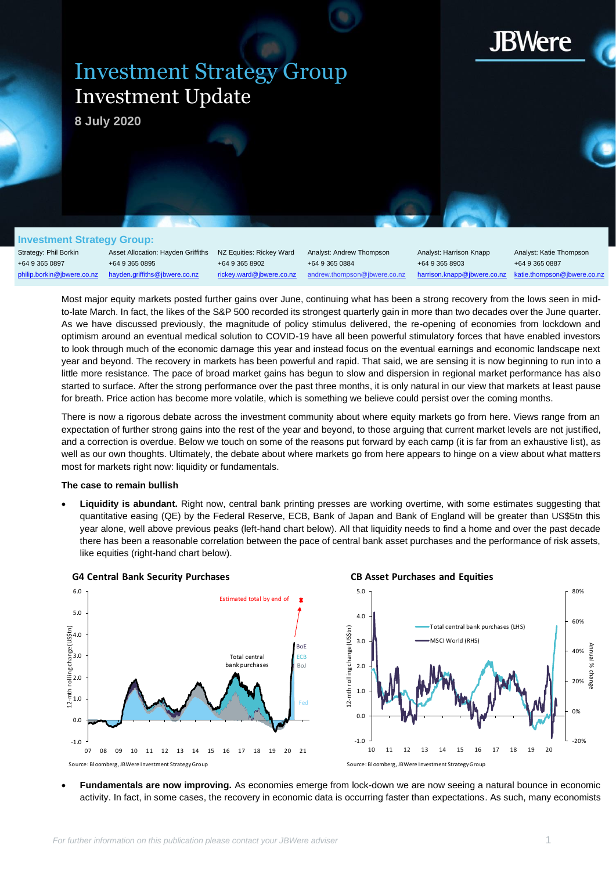

Z

# Investment Strategy Group Investment Update

**8 July 2020**

## **Investment Strategy Group:**

Strategy: Phil Borkin +64 9 365 0897 philip.borkin@jbwere.co.nz

Asset Allocation: Hayden Griffiths +64 9 365 0895 [hayden.griffiths@jbwere.co.nz](mailto:hayden.griffiths@jbwere.co.nz)

NZ Equities: Rickey Ward +64 9 365 8902 [rickey.ward@jbwere.co.nz](mailto:rickey.ward@jbwere.co.nz)

Analyst: Andrew Thompson +64 9 365 0884 [andrew.thompson@jbwere.co.nz](mailto:andrew.thompson@jbwere.co.nz) Analyst: Harrison Knapp +64 9 365 8903 [harrison.knapp@jbwere.co.nz](mailto:harrison.knapp@jbwere.co.nz)

Analyst: Katie Thompson +64 9 365 0887 [katie.thompson@jbwere.co.nz](mailto:katie.thompson@jbwere.co.nz)

Most major equity markets posted further gains over June, continuing what has been a strong recovery from the lows seen in midto-late March. In fact, the likes of the S&P 500 recorded its strongest quarterly gain in more than two decades over the June quarter. As we have discussed previously, the magnitude of policy stimulus delivered, the re-opening of economies from lockdown and optimism around an eventual medical solution to COVID-19 have all been powerful stimulatory forces that have enabled investors to look through much of the economic damage this year and instead focus on the eventual earnings and economic landscape next year and beyond. The recovery in markets has been powerful and rapid. That said, we are sensing it is now beginning to run into a little more resistance. The pace of broad market gains has begun to slow and dispersion in regional market performance has also started to surface. After the strong performance over the past three months, it is only natural in our view that markets at least pause for breath. Price action has become more volatile, which is something we believe could persist over the coming months.

There is now a rigorous debate across the investment community about where equity markets go from here. Views range from an expectation of further strong gains into the rest of the year and beyond, to those arguing that current market levels are not justified, and a correction is overdue. Below we touch on some of the reasons put forward by each camp (it is far from an exhaustive list), as well as our own thoughts. Ultimately, the debate about where markets go from here appears to hinge on a view about what matters most for markets right now: liquidity or fundamentals.

# **The case to remain bullish**

• **Liquidity is abundant.** Right now, central bank printing presses are working overtime, with some estimates suggesting that quantitative easing (QE) by the Federal Reserve, ECB, Bank of Japan and Bank of England will be greater than US\$5tn this year alone, well above previous peaks (left-hand chart below). All that liquidity needs to find a home and over the past decade there has been a reasonable correlation between the pace of central bank asset purchases and the performance of risk assets, like equities (right-hand chart below).



• **Fundamentals are now improving.** As economies emerge from lock-down we are now seeing a natural bounce in economic activity. In fact, in some cases, the recovery in economic data is occurring faster than expectations. As such, many economists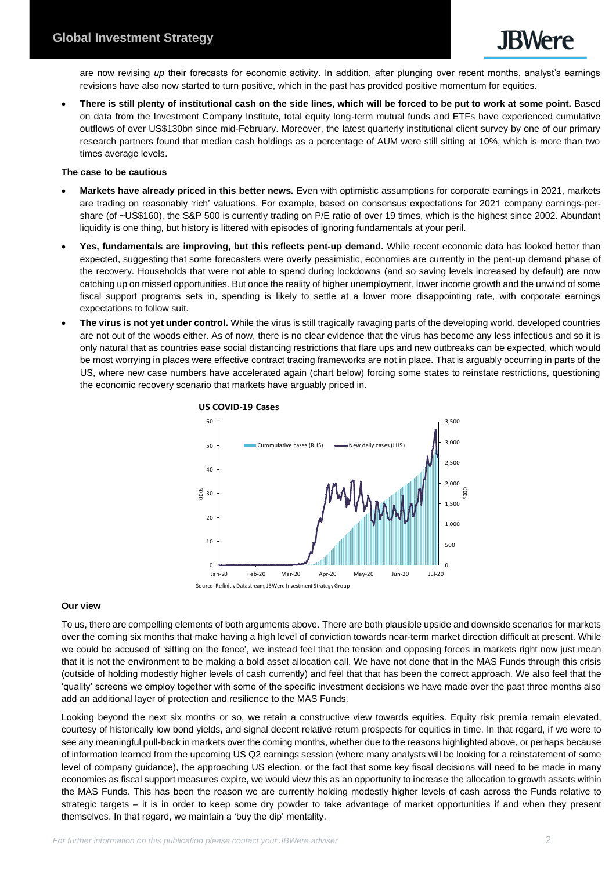are now revising *up* their forecasts for economic activity. In addition, after plunging over recent months, analyst's earnings revisions have also now started to turn positive, which in the past has provided positive momentum for equities.

• **There is still plenty of institutional cash on the side lines, which will be forced to be put to work at some point.** Based on data from the Investment Company Institute, total equity long-term mutual funds and ETFs have experienced cumulative outflows of over US\$130bn since mid-February. Moreover, the latest quarterly institutional client survey by one of our primary research partners found that median cash holdings as a percentage of AUM were still sitting at 10%, which is more than two times average levels.

# **The case to be cautious**

- **Markets have already priced in this better news.** Even with optimistic assumptions for corporate earnings in 2021, markets are trading on reasonably 'rich' valuations. For example, based on consensus expectations for 2021 company earnings-pershare (of ~US\$160), the S&P 500 is currently trading on P/E ratio of over 19 times, which is the highest since 2002. Abundant liquidity is one thing, but history is littered with episodes of ignoring fundamentals at your peril.
- **Yes, fundamentals are improving, but this reflects pent-up demand.** While recent economic data has looked better than expected, suggesting that some forecasters were overly pessimistic, economies are currently in the pent-up demand phase of the recovery. Households that were not able to spend during lockdowns (and so saving levels increased by default) are now catching up on missed opportunities. But once the reality of higher unemployment, lower income growth and the unwind of some fiscal support programs sets in, spending is likely to settle at a lower more disappointing rate, with corporate earnings expectations to follow suit.
- **The virus is not yet under control.** While the virus is still tragically ravaging parts of the developing world, developed countries are not out of the woods either. As of now, there is no clear evidence that the virus has become any less infectious and so it is only natural that as countries ease social distancing restrictions that flare ups and new outbreaks can be expected, which would be most worrying in places were effective contract tracing frameworks are not in place. That is arguably occurring in parts of the US, where new case numbers have accelerated again (chart below) forcing some states to reinstate restrictions, questioning the economic recovery scenario that markets have arguably priced in.



# **Our view**

To us, there are compelling elements of both arguments above. There are both plausible upside and downside scenarios for markets over the coming six months that make having a high level of conviction towards near-term market direction difficult at present. While we could be accused of 'sitting on the fence', we instead feel that the tension and opposing forces in markets right now just mean that it is not the environment to be making a bold asset allocation call. We have not done that in the MAS Funds through this crisis (outside of holding modestly higher levels of cash currently) and feel that that has been the correct approach. We also feel that the 'quality' screens we employ together with some of the specific investment decisions we have made over the past three months also add an additional layer of protection and resilience to the MAS Funds.

Looking beyond the next six months or so, we retain a constructive view towards equities. Equity risk premia remain elevated, courtesy of historically low bond yields, and signal decent relative return prospects for equities in time. In that regard, if we were to see any meaningful pull-back in markets over the coming months, whether due to the reasons highlighted above, or perhaps because of information learned from the upcoming US Q2 earnings session (where many analysts will be looking for a reinstatement of some level of company guidance), the approaching US election, or the fact that some key fiscal decisions will need to be made in many economies as fiscal support measures expire, we would view this as an opportunity to increase the allocation to growth assets within the MAS Funds. This has been the reason we are currently holding modestly higher levels of cash across the Funds relative to strategic targets – it is in order to keep some dry powder to take advantage of market opportunities if and when they present themselves. In that regard, we maintain a 'buy the dip' mentality.